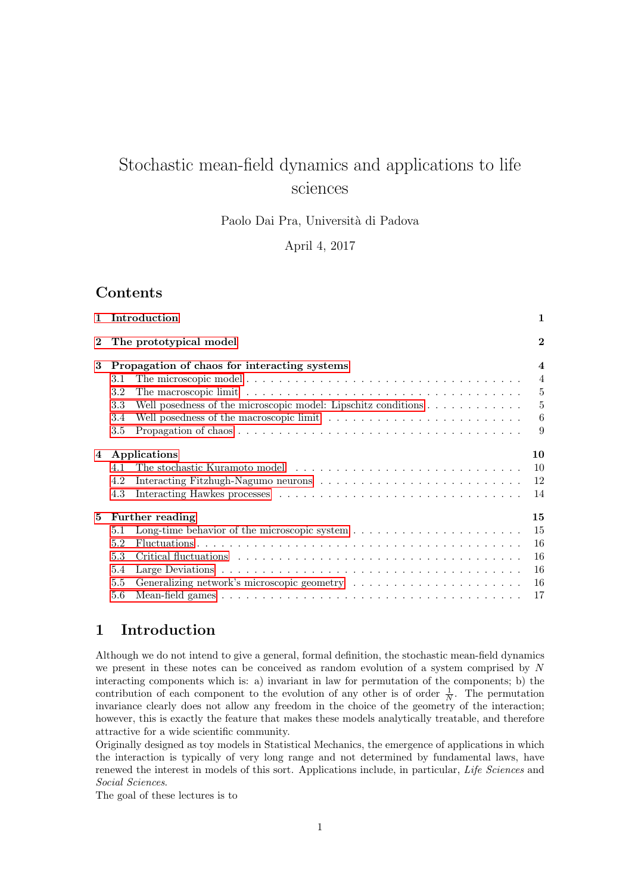# Stochastic mean-field dynamics and applications to life sciences

Paolo Dai Pra, Università di Padova

April 4, 2017

# Contents

|          | 1 Introduction                                                                                                    | 1                       |
|----------|-------------------------------------------------------------------------------------------------------------------|-------------------------|
| $\bf{2}$ | The prototypical model                                                                                            | $\bf{2}$                |
| 3        | Propagation of chaos for interacting systems                                                                      | $\overline{\mathbf{4}}$ |
|          | 3.1                                                                                                               | $\overline{4}$          |
|          | 3.2                                                                                                               | 5                       |
|          | Well posedness of the microscopic model: Lipschitz conditions<br>3.3                                              | 5                       |
|          | Well posedness of the macroscopic limit $\ldots \ldots \ldots \ldots \ldots \ldots \ldots \ldots$<br>3.4          | 6                       |
|          | Propagation of chaos $\ldots \ldots \ldots \ldots \ldots \ldots \ldots \ldots \ldots \ldots \ldots \ldots$<br>3.5 | 9                       |
| 4        | Applications                                                                                                      | 10                      |
|          | 4.1                                                                                                               | 10                      |
|          | 4.2                                                                                                               | 12                      |
|          | 4.3                                                                                                               | 14                      |
| 5        | <b>Further reading</b>                                                                                            | 15                      |
|          | 5.1                                                                                                               | 15                      |
|          | 5.2                                                                                                               | 16                      |
|          | 5.3                                                                                                               | 16                      |
|          | 5.4                                                                                                               | 16                      |
|          | 5.5                                                                                                               | 16                      |
|          | 5.6                                                                                                               | 17                      |

# <span id="page-0-0"></span>1 Introduction

Although we do not intend to give a general, formal definition, the stochastic mean-field dynamics we present in these notes can be conceived as random evolution of a system comprised by N interacting components which is: a) invariant in law for permutation of the components; b) the contribution of each component to the evolution of any other is of order  $\frac{1}{N}$ . The permutation invariance clearly does not allow any freedom in the choice of the geometry of the interaction; however, this is exactly the feature that makes these models analytically treatable, and therefore attractive for a wide scientific community.

Originally designed as toy models in Statistical Mechanics, the emergence of applications in which the interaction is typically of very long range and not determined by fundamental laws, have renewed the interest in models of this sort. Applications include, in particular, Life Sciences and Social Sciences.

The goal of these lectures is to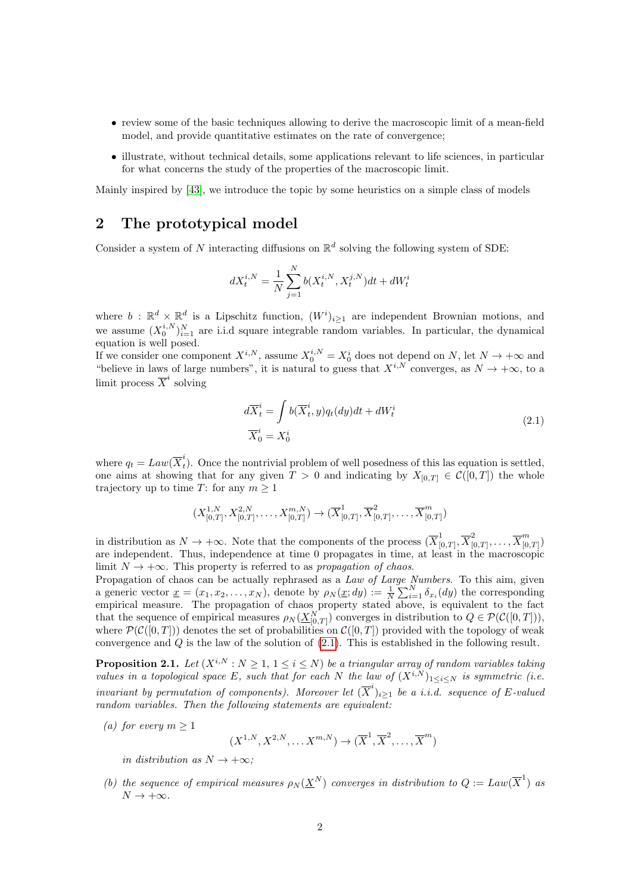- review some of the basic techniques allowing to derive the macroscopic limit of a mean-field model, and provide quantitative estimates on the rate of convergence:
- illustrate, without technical details, some applications relevant to life sciences, in particular for what concerns the study of the properties of the macroscopic limit.

Mainly inspired by [\[43\]](#page-18-0), we introduce the topic by some heuristics on a simple class of models

# <span id="page-1-0"></span>2 The prototypical model

Consider a system of N interacting diffusions on  $\mathbb{R}^d$  solving the following system of SDE:

$$
dX_t^{i,N} = \frac{1}{N} \sum_{j=1}^N b(X_t^{i,N}, X_t^{j,N}) dt + dW_t^i
$$

where  $b : \mathbb{R}^d \times \mathbb{R}^d$  is a Lipschitz function,  $(W^i)_{i \geq 1}$  are independent Brownian motions, and we assume  $(X_0^{i,N})_{i=1}^N$  are i.i.d square integrable random variables. In particular, the dynamical equation is well posed.

If we consider one component  $X^{i,N}$ , assume  $X_0^{i,N} = X_0^i$  does not depend on N, let  $N \to +\infty$  and "believe in laws of large numbers", it is natural to guess that  $X^{i,N}$  converges, as  $N \to +\infty$ , to a limit process  $\overline{X}^i$  solving

$$
d\overline{X}_t^i = \int b(\overline{X}_t^i, y) q_t(dy) dt + dW_t^i
$$
  

$$
\overline{X}_0^i = X_0^i
$$
 (2.1)

<span id="page-1-1"></span>where  $q_t = Law(\overline{X}_t^i)$  $_{t}^{*}$ ). Once the nontrivial problem of well posedness of this las equation is settled, one aims at showing that for any given  $T > 0$  and indicating by  $X_{[0,T]} \in \mathcal{C}([0,T])$  the whole trajectory up to time T: for any  $m \geq 1$ 

$$
(X_{[0,T]}^{1,N},X_{[0,T]}^{2,N},\ldots,X_{[0,T]}^{m,N})\to(\overline{X}_{[0,T]}^1,\overline{X}_{[0,T]}^2,\ldots,\overline{X}_{[0,T]}^m)
$$

in distribution as  $N \to +\infty$ . Note that the components of the process  $(\overline{X}_{\alpha}^1)$  $\frac{1}{[0,T]},\overline{X}^2_{[0]}$  $\frac{1}{[0,T]},\ldots,\overline{X}_{[0]}^{m}$  $\binom{n}{[0,T]}$ are independent. Thus, independence at time 0 propagates in time, at least in the macroscopic limit  $N \to +\infty$ . This property is referred to as propagation of chaos.

Propagation of chaos can be actually rephrased as a Law of Large Numbers. To this aim, given a generic vector  $\underline{x} = (x_1, x_2, \ldots, x_N)$ , denote by  $\rho_N(\underline{x}; dy) := \frac{1}{N} \sum_{i=1}^N \delta_{x_i}(dy)$  the corresponding empirical measure. The propagation of chaos property stated above, is equivalent to the fact that the sequence of empirical measures  $\rho_N(\underline{X}_{[0,T]}^N)$  converges in distribution to  $Q \in \mathcal{P}(\mathcal{C}([0,T]))$ , where  $\mathcal{P}(\mathcal{C}([0,T]))$  denotes the set of probabilities on  $\mathcal{C}([0,T])$  provided with the topology of weak convergence and Q is the law of the solution of [\(2.1\)](#page-1-1). This is established in the following result.

<span id="page-1-2"></span>**Proposition 2.1.** Let  $(X^{i,N}: N \geq 1, 1 \leq i \leq N)$  be a triangular array of random variables taking values in a topological space E, such that for each N the law of  $(X^{i,N})_{1\leq i\leq N}$  is symmetric (i.e. invariant by permutation of components). Moreover let  $(\overline{X}^i)_{i\geq 1}$  be a i.i.d. sequence of E-valued random variables. Then the following statements are equivalent:

(a) for every  $m \geq 1$ 

 $(X^{1,N}, X^{2,N}, \dots, X^{m,N}) \rightarrow (\overline{X}^1, \overline{X}^2, \dots, \overline{X}^m)$ 

in distribution as  $N \rightarrow +\infty$ ;

(b) the sequence of empirical measures  $\rho_N(\underline{X}^N)$  converges in distribution to  $Q := Law(\overline{X}^1)$  as  $N \to +\infty$ .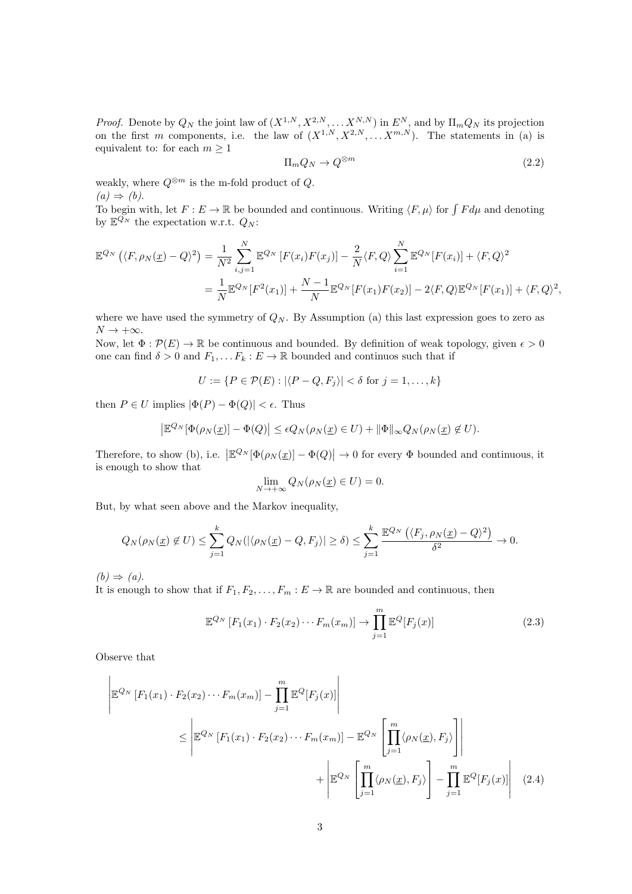*Proof.* Denote by  $Q_N$  the joint law of  $(X^{1,N}, X^{2,N}, \ldots X^{N,N})$  in  $E^N$ , and by  $\Pi_m Q_N$  its projection on the first m components, i.e. the law of  $(X^{1,N}, X^{2,N}, \ldots, X^{m,N})$ . The statements in (a) is equivalent to: for each  $m \geq 1$ 

$$
\Pi_m Q_N \to Q^{\otimes m} \tag{2.2}
$$

weakly, where  $Q^{\otimes m}$  is the m-fold product of  $Q$ .

 $(a) \Rightarrow (b).$ 

To begin with, let  $F: E \to \mathbb{R}$  be bounded and continuous. Writing  $\langle F, \mu \rangle$  for  $\int F d\mu$  and denoting by  $\mathbb{E}^{\bar{Q}_N}$  the expectation w.r.t.  $Q_N$ :

$$
\mathbb{E}^{Q_N}(\langle F, \rho_N(\underline{x}) - Q \rangle^2) = \frac{1}{N^2} \sum_{i,j=1}^N \mathbb{E}^{Q_N} [F(x_i) F(x_j)] - \frac{2}{N} \langle F, Q \rangle \sum_{i=1}^N \mathbb{E}^{Q_N} [F(x_i)] + \langle F, Q \rangle^2
$$
  
= 
$$
\frac{1}{N} \mathbb{E}^{Q_N} [F^2(x_1)] + \frac{N-1}{N} \mathbb{E}^{Q_N} [F(x_1) F(x_2)] - 2 \langle F, Q \rangle \mathbb{E}^{Q_N} [F(x_1)] + \langle F, Q \rangle^2,
$$

where we have used the symmetry of  $Q_N$ . By Assumption (a) this last expression goes to zero as  $N \to +\infty$ .

Now, let  $\Phi : \mathcal{P}(E) \to \mathbb{R}$  be continuous and bounded. By definition of weak topology, given  $\epsilon > 0$ one can find  $\delta > 0$  and  $F_1, \ldots F_k : E \to \mathbb{R}$  bounded and continuos such that if

$$
U := \{ P \in \mathcal{P}(E) : |\langle P - Q, F_j \rangle| < \delta \text{ for } j = 1, \dots, k \}
$$

then  $P \in U$  implies  $|\Phi(P) - \Phi(Q)| < \epsilon$ . Thus

$$
\left| \mathbb{E}^{Q_N}[\Phi(\rho_N(\underline{x})] - \Phi(Q)] \right| \leq \epsilon Q_N(\rho_N(\underline{x}) \in U) + \|\Phi\|_\infty Q_N(\rho_N(\underline{x}) \notin U).
$$

Therefore, to show (b), i.e.  $\left| \mathbb{E}^{Q_N}[\Phi(\rho_N(\underline{x})] - \Phi(Q)] \right| \to 0$  for every  $\Phi$  bounded and continuous, it is enough to show that

$$
\lim_{N \to +\infty} Q_N(\rho_N(\underline{x}) \in U) = 0.
$$

But, by what seen above and the Markov inequality,

$$
Q_N(\rho_N(\underline{x}) \notin U) \leq \sum_{j=1}^k Q_N(|\langle \rho_N(\underline{x}) - Q, F_j \rangle| \geq \delta) \leq \sum_{j=1}^k \frac{\mathbb{E}^{Q_N}(\langle F_j, \rho_N(\underline{x}) - Q \rangle^2)}{\delta^2} \to 0.
$$

 $(b) \Rightarrow (a).$ 

It is enough to show that if  $F_1, F_2, \ldots, F_m : E \to \mathbb{R}$  are bounded and continuous, then

<span id="page-2-0"></span>
$$
\mathbb{E}^{Q_N}\left[F_1(x_1)\cdot F_2(x_2)\cdots F_m(x_m)\right] \to \prod_{j=1}^m \mathbb{E}^Q\left[F_j(x)\right] \tag{2.3}
$$

Observe that

$$
\begin{aligned}\n\left| \mathbb{E}^{Q_N} \left[ F_1(x_1) \cdot F_2(x_2) \cdots F_m(x_m) \right] - \prod_{j=1}^m \mathbb{E}^Q \left[ F_j(x) \right] \right| \\
&\leq \left| \mathbb{E}^{Q_N} \left[ F_1(x_1) \cdot F_2(x_2) \cdots F_m(x_m) \right] - \mathbb{E}^{Q_N} \left[ \prod_{j=1}^m \langle \rho_N(\underline{x}), F_j \rangle \right] \right| \\
&\quad + \left| \mathbb{E}^{Q_N} \left[ \prod_{j=1}^m \langle \rho_N(\underline{x}), F_j \rangle \right] - \prod_{j=1}^m \mathbb{E}^Q \left[ F_j(x) \right] \right| \n\end{aligned} \tag{2.4}
$$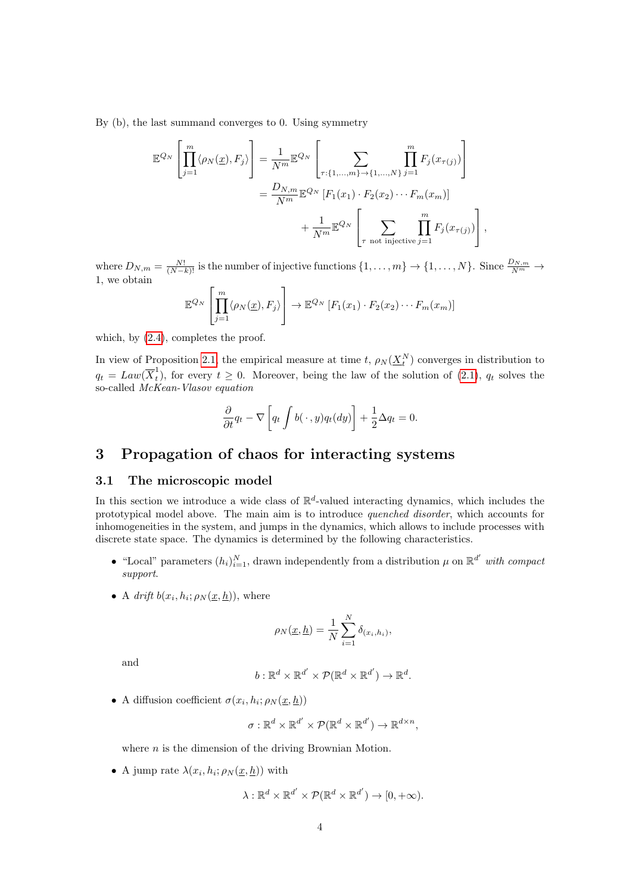By (b), the last summand converges to 0. Using symmetry

$$
\mathbb{E}^{Q_N}\left[\prod_{j=1}^m \langle \rho_N(\underline{x}), F_j \rangle\right] = \frac{1}{N^m} \mathbb{E}^{Q_N}\left[\sum_{\tau:\{1,\ldots,m\}\to\{1,\ldots,N\}} \prod_{j=1}^m F_j(x_{\tau(j)})\right]
$$

$$
= \frac{D_{N,m}}{N^m} \mathbb{E}^{Q_N}\left[F_1(x_1) \cdot F_2(x_2) \cdots F_m(x_m)\right]
$$

$$
+ \frac{1}{N^m} \mathbb{E}^{Q_N}\left[\sum_{\tau \text{ not injective } j=1} \prod_{j=1}^m F_j(x_{\tau(j)})\right],
$$

where  $D_{N,m} = \frac{N!}{(N-k)!}$  is the number of injective functions  $\{1,\ldots,m\} \to \{1,\ldots,N\}$ . Since  $\frac{D_{N,m}}{N^m} \to$ 1, we obtain

$$
\mathbb{E}^{Q_N}\left[\prod_{j=1}^m \langle \rho_N(\underline{x}), F_j \rangle \right] \to \mathbb{E}^{Q_N}\left[F_1(x_1) \cdot F_2(x_2) \cdots F_m(x_m)\right]
$$

which, by  $(2.4)$ , completes the proof.

In view of Proposition [2.1,](#page-1-2) the empirical measure at time t,  $\rho_N(\underline{X}_t^N)$  converges in distribution to  $q_t = Law(\overline{X}_t^1)$ <sup>1</sup><sub>t</sub>), for every  $t \geq 0$ . Moreover, being the law of the solution of [\(2.1\)](#page-1-1),  $q_t$  solves the so-called McKean-Vlasov equation

$$
\frac{\partial}{\partial t}q_t - \nabla \left[ q_t \int b(\,\cdot\,,y) q_t(dy) \right] + \frac{1}{2} \Delta q_t = 0.
$$

# <span id="page-3-0"></span>3 Propagation of chaos for interacting systems

# <span id="page-3-1"></span>3.1 The microscopic model

In this section we introduce a wide class of  $\mathbb{R}^d$ -valued interacting dynamics, which includes the prototypical model above. The main aim is to introduce quenched disorder, which accounts for inhomogeneities in the system, and jumps in the dynamics, which allows to include processes with discrete state space. The dynamics is determined by the following characteristics.

- "Local" parameters  $(h_i)_{i=1}^N$ , drawn independently from a distribution  $\mu$  on  $\mathbb{R}^{d'}$  with compact support.
- A drift  $b(x_i, h_i; \rho_N(\underline{x}, \underline{h}))$ , where

$$
\rho_N(\underline{x}, \underline{h}) = \frac{1}{N} \sum_{i=1}^N \delta_{(x_i, h_i)},
$$

and

$$
b:\mathbb{R}^d\times\mathbb{R}^{d'}\times\mathcal{P}(\mathbb{R}^d\times\mathbb{R}^{d'})\to\mathbb{R}^d.
$$

• A diffusion coefficient  $\sigma(x_i, h_i; \rho_N(\underline{x}, \underline{h}))$ 

$$
\sigma:\mathbb{R}^d\times\mathbb{R}^{d'}\times\mathcal{P}(\mathbb{R}^d\times\mathbb{R}^{d'})\to\mathbb{R}^{d\times n},
$$

where  $n$  is the dimension of the driving Brownian Motion.

• A jump rate  $\lambda(x_i, h_i; \rho_N(\underline{x}, \underline{h}))$  with

$$
\lambda: \mathbb{R}^d \times \mathbb{R}^{d'} \times \mathcal{P}(\mathbb{R}^d \times \mathbb{R}^{d'}) \to [0, +\infty).
$$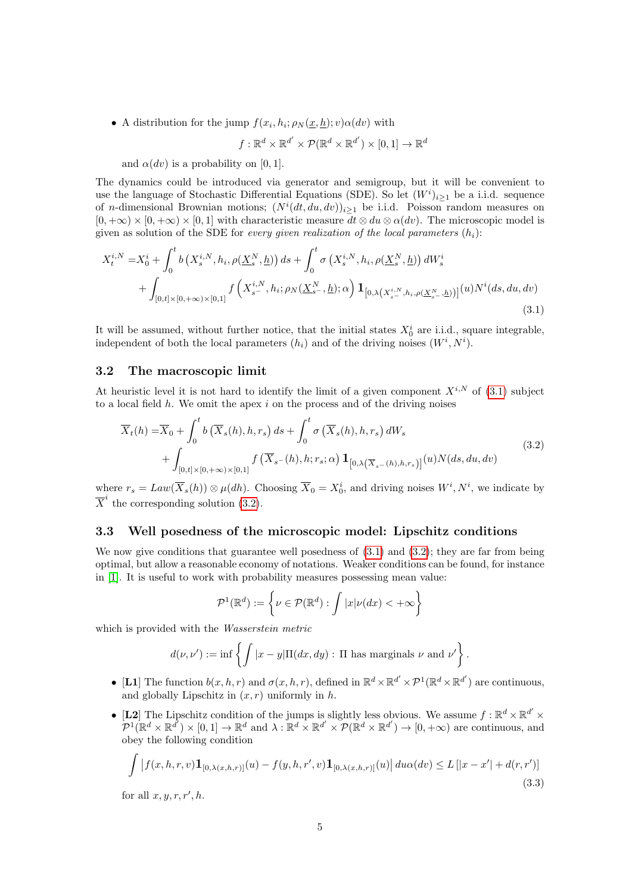• A distribution for the jump  $f(x_i, h_i; \rho_N(\underline{x}, \underline{h}); v) \alpha(dv)$  with

$$
f: \mathbb{R}^d \times \mathbb{R}^{d'} \times \mathcal{P}(\mathbb{R}^d \times \mathbb{R}^{d'}) \times [0,1] \to \mathbb{R}^d
$$

and  $\alpha(dv)$  is a probability on [0, 1].

The dynamics could be introduced via generator and semigroup, but it will be convenient to use the language of Stochastic Differential Equations (SDE). So let  $(W<sup>i</sup>)_{i\geq 1}$  be a i.i.d. sequence of *n*-dimensional Brownian motions;  $(N^{i}(dt, du, dv))_{i\geq 1}$  be i.i.d. Poisson random measures on  $[0, +\infty) \times [0, +\infty) \times [0, 1]$  with characteristic measure  $dt \otimes du \otimes \alpha(dv)$ . The microscopic model is given as solution of the SDE for every given realization of the local parameters  $(h_i)$ :

<span id="page-4-2"></span>
$$
X_t^{i,N} = X_0^i + \int_0^t b\left(X_s^{i,N}, h_i, \rho(\underline{X}_s^N, \underline{h})\right) ds + \int_0^t \sigma\left(X_s^{i,N}, h_i, \rho(\underline{X}_s^N, \underline{h})\right) dW_s^i
$$
  
+ 
$$
\int_{[0,t] \times [0,+\infty) \times [0,1]} f\left(X_{s^-}^{i,N}, h_i; \rho_N(\underline{X}_{s^-}^N, \underline{h}); \alpha\right) \mathbf{1}_{\left[0,\lambda\left(X_{s^-}^{i,N}, h_i, \rho(\underline{X}_{s^-}^N, \underline{h})\right)\right]}(u) N^i(ds, du, dv)
$$
(3.1)

It will be assumed, without further notice, that the initial states  $X_0^i$  are i.i.d., square integrable, independent of both the local parameters  $(h_i)$  and of the driving noises  $(W^i, N^i)$ .

#### <span id="page-4-0"></span>3.2 The macroscopic limit

At heuristic level it is not hard to identify the limit of a given component  $X^{i,N}$  of [\(3.1\)](#page-4-2) subject to a local field  $h$ . We omit the apex  $i$  on the process and of the driving noises

<span id="page-4-3"></span>
$$
\overline{X}_t(h) = \overline{X}_0 + \int_0^t b\left(\overline{X}_s(h), h, r_s\right) ds + \int_0^t \sigma\left(\overline{X}_s(h), h, r_s\right) dW_s
$$
\n
$$
+ \int_{[0,t] \times [0,+\infty) \times [0,1]} f\left(\overline{X}_{s^-}(h), h; r_s; \alpha\right) \mathbf{1}_{\left[0, \lambda\left(\overline{X}_{s^-}(h), h; r_s\right)\right]}(u) N(ds, du, dv)
$$
\n(3.2)

where  $r_s = Law(\overline{X}_s(h)) \otimes \mu(dh)$ . Choosing  $\overline{X}_0 = X_0^i$ , and driving noises  $W^i, N^i$ , we indicate by  $\overline{X}^i$  the corresponding solution [\(3.2\)](#page-4-3).

## <span id="page-4-1"></span>3.3 Well posedness of the microscopic model: Lipschitz conditions

We now give conditions that guarantee well posedness of  $(3.1)$  and  $(3.2)$ ; they are far from being optimal, but allow a reasonable economy of notations. Weaker conditions can be found, for instance in [\[1\]](#page-16-1). It is useful to work with probability measures possessing mean value:

$$
\mathcal{P}^1(\mathbb{R}^d) := \left\{ \nu \in \mathcal{P}(\mathbb{R}^d) : \int |x| \nu(dx) < +\infty \right\}
$$

which is provided with the Wasserstein metric

$$
d(\nu, \nu') := \inf \left\{ \int |x - y| \Pi(dx, dy) : \Pi \text{ has marginals } \nu \text{ and } \nu' \right\}.
$$

- [L1] The function  $b(x, h, r)$  and  $\sigma(x, h, r)$ , defined in  $\mathbb{R}^d \times \mathbb{R}^{d'} \times \mathcal{P}^1(\mathbb{R}^d \times \mathbb{R}^{d'})$  are continuous, and globally Lipschitz in  $(x, r)$  uniformly in h.
- [L2] The Lipschitz condition of the jumps is slightly less obvious. We assume  $f : \mathbb{R}^d \times \mathbb{R}^{d'} \times$  $\mathcal{P}^1(\mathbb{R}^d \times \mathbb{R}^{d'}) \times [0,1] \to \mathbb{R}^d$  and  $\lambda : \mathbb{R}^d \times \mathbb{R}^{d'} \times \mathcal{P}(\mathbb{R}^d \times \mathbb{R}^{d'}) \to [0,+\infty)$  are continuous, and obey the following condition

<span id="page-4-4"></span>
$$
\int |f(x, h, r, v) \mathbf{1}_{[0, \lambda(x, h, r)]}(u) - f(y, h, r', v) \mathbf{1}_{[0, \lambda(x, h, r)]}(u)| du \alpha(dv) \le L [|x - x'| + d(r, r')]
$$
\n(3.3)

for all  $x, y, r, r', h$ .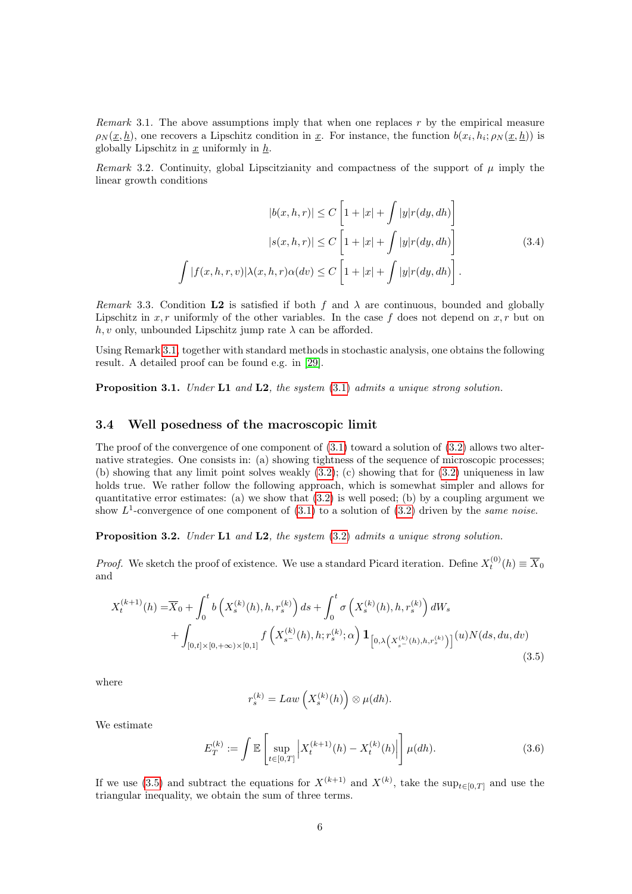<span id="page-5-1"></span>Remark 3.1. The above assumptions imply that when one replaces  $r$  by the empirical measure  $\rho_N(\underline{x}, \underline{h})$ , one recovers a Lipschitz condition in  $\underline{x}$ . For instance, the function  $b(x_i, h_i; \rho_N(\underline{x}, \underline{h}))$  is globally Lipschitz in  $x$  uniformly in  $h$ .

Remark 3.2. Continuity, global Lipscitzianity and compactness of the support of  $\mu$  imply the linear growth conditions

$$
|b(x,h,r)| \le C \left[1+|x| + \int |y|r(dy, dh)\right]
$$

$$
|s(x,h,r)| \le C \left[1+|x| + \int |y|r(dy, dh)\right]
$$

$$
\int |f(x,h,r,v)| \lambda(x,h,r) \alpha(dv) \le C \left[1+|x| + \int |y|r(dy, dh)\right].
$$

$$
(3.4)
$$

<span id="page-5-3"></span>Remark 3.3. Condition L2 is satisfied if both f and  $\lambda$  are continuous, bounded and globally Lipschitz in  $x, r$  uniformly of the other variables. In the case f does not depend on  $x, r$  but on  $h, v$  only, unbounded Lipschitz jump rate  $\lambda$  can be afforded.

Using Remark [3.1,](#page-5-1) together with standard methods in stochastic analysis, one obtains the following result. A detailed proof can be found e.g. in [\[29\]](#page-17-0).

Proposition 3.1. Under L1 and L2, the system [\(3.1\)](#page-4-2) admits a unique strong solution.

## <span id="page-5-0"></span>3.4 Well posedness of the macroscopic limit

The proof of the convergence of one component of [\(3.1\)](#page-4-2) toward a solution of [\(3.2\)](#page-4-3) allows two alternative strategies. One consists in: (a) showing tightness of the sequence of microscopic processes; (b) showing that any limit point solves weakly  $(3.2)$ ; (c) showing that for  $(3.2)$  uniqueness in law holds true. We rather follow the following approach, which is somewhat simpler and allows for quantitative error estimates: (a) we show that  $(3.2)$  is well posed; (b) by a coupling argument we show  $L^1$ -convergence of one component of [\(3.1\)](#page-4-2) to a solution of [\(3.2\)](#page-4-3) driven by the same noise.

<span id="page-5-4"></span>Proposition 3.2. Under L1 and L2, the system [\(3.2\)](#page-4-3) admits a unique strong solution.

*Proof.* We sketch the proof of existence. We use a standard Picard iteration. Define  $X_t^{(0)}(h) \equiv \overline{X}_0$ and

<span id="page-5-2"></span>
$$
X_t^{(k+1)}(h) = \overline{X}_0 + \int_0^t b\left(X_s^{(k)}(h), h, r_s^{(k)}\right) ds + \int_0^t \sigma\left(X_s^{(k)}(h), h, r_s^{(k)}\right) dW_s
$$
  
+ 
$$
\int_{[0,t] \times [0, +\infty) \times [0,1]} f\left(X_{s^-}^{(k)}(h), h; r_s^{(k)}; \alpha\right) \mathbf{1}_{\left[0, \lambda\left(X_{s^-}^{(k)}(h), h, r_s^{(k)}\right)\right]}(u) N(ds, du, dv)
$$
(3.5)

where

$$
r_s^{(k)} = Law\left(X_s^{(k)}(h)\right) \otimes \mu(dh).
$$

We estimate

$$
E_T^{(k)} := \int \mathbb{E}\left[\sup_{t \in [0,T]} \left| X_t^{(k+1)}(h) - X_t^{(k)}(h) \right| \right] \mu(dh). \tag{3.6}
$$

If we use [\(3.5\)](#page-5-2) and subtract the equations for  $X^{(k+1)}$  and  $X^{(k)}$ , take the sup<sub>t∈[0,T]</sub> and use the triangular inequality, we obtain the sum of three terms.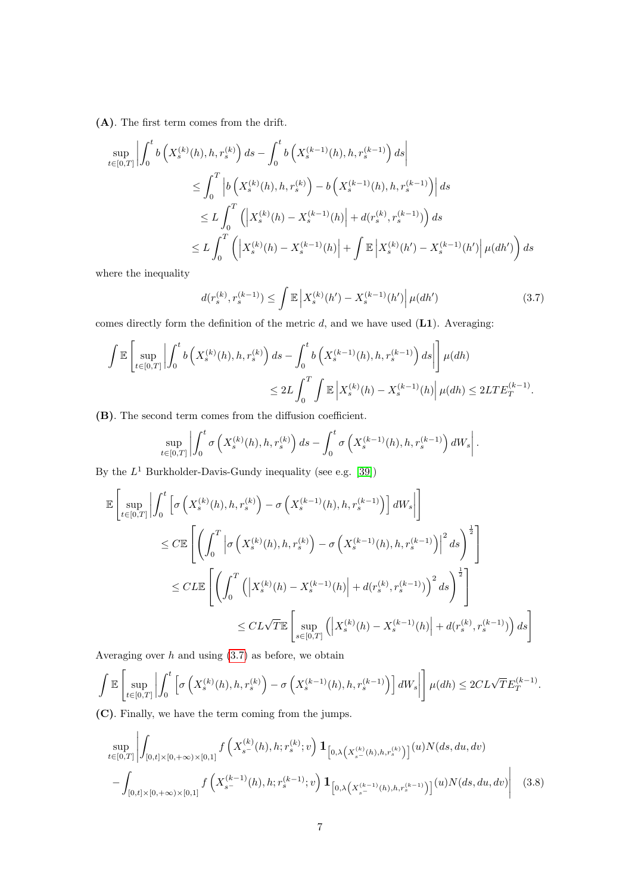(A). The first term comes from the drift.

$$
\sup_{t \in [0,T]} \left| \int_0^t b\left(X_s^{(k)}(h), h, r_s^{(k)}\right) ds - \int_0^t b\left(X_s^{(k-1)}(h), h, r_s^{(k-1)}\right) ds \right|
$$
  

$$
\leq \int_0^T \left| b\left(X_s^{(k)}(h), h, r_s^{(k)}\right) - b\left(X_s^{(k-1)}(h), h, r_s^{(k-1)}\right) \right| ds
$$
  

$$
\leq L \int_0^T \left( \left| X_s^{(k)}(h) - X_s^{(k-1)}(h) \right| + d(r_s^{(k)}, r_s^{(k-1)}) \right) ds
$$
  

$$
\leq L \int_0^T \left( \left| X_s^{(k)}(h) - X_s^{(k-1)}(h) \right| + \int \mathbb{E} \left| X_s^{(k)}(h') - X_s^{(k-1)}(h') \right| \mu(dh') \right) ds
$$

where the inequality

<span id="page-6-0"></span>
$$
d(r_s^{(k)}, r_s^{(k-1)}) \le \int \mathbb{E} \left| X_s^{(k)}(h') - X_s^{(k-1)}(h') \right| \mu(dh')
$$
\n(3.7)

comes directly form the definition of the metric  $d$ , and we have used  $(L1)$ . Averaging:

$$
\int \mathbb{E} \left[ \sup_{t \in [0,T]} \left| \int_0^t b\left(X_s^{(k)}(h), h, r_s^{(k)}\right) ds - \int_0^t b\left(X_s^{(k-1)}(h), h, r_s^{(k-1)}\right) ds \right| \right] \mu(dh)
$$
  

$$
\leq 2L \int_0^T \int \mathbb{E} \left| X_s^{(k)}(h) - X_s^{(k-1)}(h) \right| \mu(dh) \leq 2LTE_T^{(k-1)}.
$$

(B). The second term comes from the diffusion coefficient.

$$
\sup_{t\in[0,T]}\left|\int_0^t\sigma\left(X_s^{(k)}(h),h,r_s^{(k)}\right)ds-\int_0^t\sigma\left(X_s^{(k-1)}(h),h,r_s^{(k-1)}\right)dW_s\right|.
$$

By the  $L^1$  Burkholder-Davis-Gundy inequality (see e.g. [\[39\]](#page-18-1))

$$
\begin{split} \mathbb{E}\left[\sup_{t\in[0,T]}\left|\int_{0}^{t}\left[\sigma\left(X_{s}^{(k)}(h),h,r_{s}^{(k)}\right)-\sigma\left(X_{s}^{(k-1)}(h),h,r_{s}^{(k-1)}\right)\right]dW_{s}\right|\right] \\ & \leq C\mathbb{E}\left[\left(\int_{0}^{T}\left|\sigma\left(X_{s}^{(k)}(h),h,r_{s}^{(k)}\right)-\sigma\left(X_{s}^{(k-1)}(h),h,r_{s}^{(k-1)}\right)\right|^{2}ds\right)^{\frac{1}{2}}\right] \\ & \leq C L\mathbb{E}\left[\left(\int_{0}^{T}\left(\left|X_{s}^{(k)}(h)-X_{s}^{(k-1)}(h)\right|+d(r_{s}^{(k)},r_{s}^{(k-1)})\right)^{2}ds\right)^{\frac{1}{2}}\right] \\ & \leq CL\sqrt{T}\mathbb{E}\left[\sup_{s\in[0,T]}\left(\left|X_{s}^{(k)}(h)-X_{s}^{(k-1)}(h)\right|+d(r_{s}^{(k)},r_{s}^{(k-1)})\right)ds\right] \end{split}
$$

Averaging over  $h$  and using  $(3.7)$  as before, we obtain

$$
\int \mathbb{E}\left[\sup_{t\in[0,T]}\left|\int_0^t \left[\sigma\left(X_s^{(k)}(h),h,r_s^{(k)}\right)-\sigma\left(X_s^{(k-1)}(h),h,r_s^{(k-1)}\right)\right]dW_s\right|\right] \mu(dh) \leq 2CL\sqrt{T}E_T^{(k-1)}.
$$

(C). Finally, we have the term coming from the jumps.

<span id="page-6-1"></span>
$$
\sup_{t\in[0,T]} \left| \int_{[0,t]\times[0,+\infty)\times[0,1]} f\left(X_{s^-}^{(k)}(h),h;r_s^{(k)};v\right) \mathbf{1}_{\left[0,\lambda\left(X_{s^-}^{(k)}(h),h,r_s^{(k)}\right)\right]}(u)N(ds,du,dv) \right| - \int_{[0,t]\times[0,+\infty)\times[0,1]} f\left(X_{s^-}^{(k-1)}(h),h;r_s^{(k-1)};v\right) \mathbf{1}_{\left[0,\lambda\left(X_{s^-}^{(k-1)}(h),h,r_s^{(k-1)}\right)\right]}(u)N(ds,du,dv) \right| \tag{3.8}
$$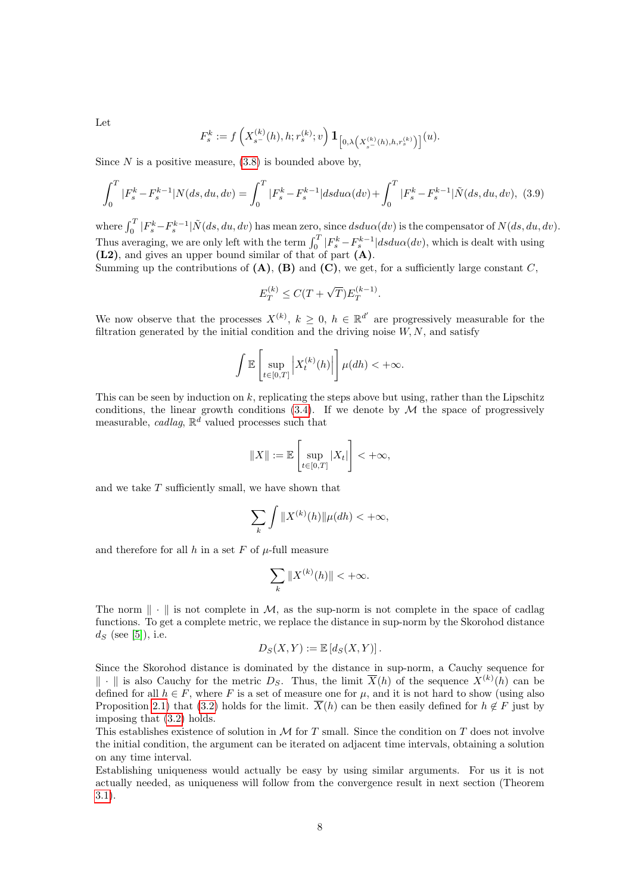Let

$$
F_s^k := f\left(X_{s^-}^{(k)}(h), h; r_s^{(k)}; v\right) \mathbf{1}_{\left[0, \lambda\left(X_{s^-}^{(k)}(h), h, r_s^{(k)}\right)\right]}(u).
$$

Since  $N$  is a positive measure,  $(3.8)$  is bounded above by,

<span id="page-7-0"></span>
$$
\int_0^T |F_s^k - F_s^{k-1}| N(ds, du, dv) = \int_0^T |F_s^k - F_s^{k-1}| ds du \alpha(dv) + \int_0^T |F_s^k - F_s^{k-1}| \tilde{N}(ds, du, dv), \tag{3.9}
$$

where  $\int_0^T |F_s^k - F_s^{k-1}| \tilde{N}(ds, du, dv)$  has mean zero, since  $dsdu\alpha(dv)$  is the compensator of  $N(ds, du, dv)$ . Thus averaging, we are only left with the term  $\int_0^T \left| F_s^k - F_s^{k-1} \right| ds du \alpha(dv)$ , which is dealt with using (L2), and gives an upper bound similar of that of part (A).

Summing up the contributions of  $(A)$ ,  $(B)$  and  $(C)$ , we get, for a sufficiently large constant C,

$$
E_T^{(k)} \le C(T + \sqrt{T})E_T^{(k-1)}
$$

.

We now observe that the processes  $X^{(k)}$ ,  $k \geq 0$ ,  $h \in \mathbb{R}^{d'}$  are progressively measurable for the filtration generated by the initial condition and the driving noise  $W, N$ , and satisfy

$$
\int \mathbb{E}\left[\sup_{t\in[0,T]}\left|X_t^{(k)}(h)\right|\right] \mu(dh) < +\infty.
$$

This can be seen by induction on  $k$ , replicating the steps above but using, rather than the Lipschitz conditions, the linear growth conditions  $(3.4)$ . If we denote by M the space of progressively measurable, cadlag,  $\mathbb{R}^d$  valued processes such that

$$
||X|| := \mathbb{E}\left[\sup_{t \in [0,T]} |X_t|\right] < +\infty,
$$

and we take T sufficiently small, we have shown that

$$
\sum_{k} \int \|X^{(k)}(h)\| \mu(dh) < +\infty,
$$

and therefore for all  $h$  in a set  $F$  of  $\mu$ -full measure

$$
\sum_{k} \|X^{(k)}(h)\| < +\infty.
$$

The norm  $\|\cdot\|$  is not complete in M, as the sup-norm is not complete in the space of cadlag functions. To get a complete metric, we replace the distance in sup-norm by the Skorohod distance  $d_S$  (see [\[5\]](#page-16-2)), i.e.

$$
D_S(X,Y) := \mathbb{E}\left[d_S(X,Y)\right].
$$

Since the Skorohod distance is dominated by the distance in sup-norm, a Cauchy sequence for  $\|\cdot\|$  is also Cauchy for the metric  $D_S$ . Thus, the limit  $\overline{X}(h)$  of the sequence  $X^{(k)}(h)$  can be defined for all  $h \in F$ , where F is a set of measure one for  $\mu$ , and it is not hard to show (using also Proposition [2.1\)](#page-1-2) that [\(3.2\)](#page-4-3) holds for the limit.  $\overline{X}(h)$  can be then easily defined for  $h \notin F$  just by imposing that [\(3.2\)](#page-4-3) holds.

This establishes existence of solution in  $M$  for T small. Since the condition on T does not involve the initial condition, the argument can be iterated on adjacent time intervals, obtaining a solution on any time interval.

Establishing uniqueness would actually be easy by using similar arguments. For us it is not actually needed, as uniqueness will follow from the convergence result in next section (Theorem [3.1\)](#page-8-1).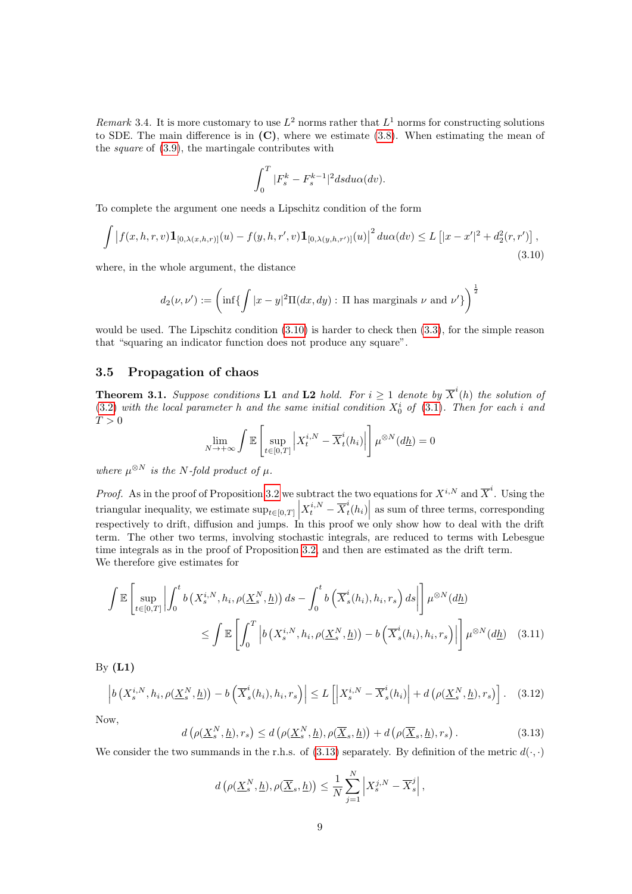Remark 3.4. It is more customary to use  $L^2$  norms rather that  $L^1$  norms for constructing solutions to SDE. The main difference is in  $(C)$ , where we estimate  $(3.8)$ . When estimating the mean of the square of [\(3.9\)](#page-7-0), the martingale contributes with

$$
\int_0^T |F_s^k - F_s^{k-1}|^2 ds du\alpha(dv).
$$

To complete the argument one needs a Lipschitz condition of the form

<span id="page-8-2"></span>
$$
\int \left| f(x, h, r, v) \mathbf{1}_{[0, \lambda(x, h, r)]}(u) - f(y, h, r', v) \mathbf{1}_{[0, \lambda(y, h, r')]}(u) \right|^2 du \alpha(dv) \le L \left[ |x - x'|^2 + d_2^2(r, r') \right],
$$
\n(3.10)

where, in the whole argument, the distance

$$
d_2(\nu, \nu') := \left(\inf \left\{ \int |x-y|^2 \Pi(dx, dy) : \Pi \text{ has marginals } \nu \text{ and } \nu' \right\} \right)^{\frac{1}{2}}
$$

would be used. The Lipschitz condition  $(3.10)$  is harder to check then  $(3.3)$ , for the simple reason that "squaring an indicator function does not produce any square".

### <span id="page-8-0"></span>3.5 Propagation of chaos

<span id="page-8-1"></span>**Theorem 3.1.** Suppose conditions **L1** and **L2** hold. For  $i \geq 1$  denote by  $\overline{X}^i(h)$  the solution of  $(3.2)$  with the local parameter h and the same initial condition  $X_0^i$  of  $(3.1)$ . Then for each i and  $T > 0$ 

$$
\lim_{N \to +\infty} \int \mathbb{E} \left[ \sup_{t \in [0,T]} \left| X_t^{i,N} - \overline{X}_t^i(h_i) \right| \right] \mu^{\otimes N}(d\underline{h}) = 0
$$

where  $\mu^{\otimes N}$  is the N-fold product of  $\mu$ .

*Proof.* As in the proof of Proposition [3.2](#page-5-4) we subtract the two equations for  $X^{i,N}$  and  $\overline{X}^i$ . Using the triangular inequality, we estimate  $\sup_{t \in [0,T]} |X_t^{i,N} - \overline{X}_t^i|$ respectively to drift, diffusion and jumps. In this proof we only show how to deal with the drift respectively to drift, diffusion and jumps. In this proof we only show how to deal with the drift  $\left| \begin{array}{c} i_t(h_i) \end{array} \right|$  as sum of three terms, corresponding term. The other two terms, involving stochastic integrals, are reduced to terms with Lebesgue time integrals as in the proof of Proposition [3.2,](#page-5-4) and then are estimated as the drift term. We therefore give estimates for

$$
\int \mathbb{E} \left[ \sup_{t \in [0,T]} \left| \int_0^t b\left(X_s^{i,N}, h_i, \rho(\underline{X}_s^N, \underline{h})\right) ds - \int_0^t b\left(\overline{X}_s^i(h_i), h_i, r_s\right) ds \right| \right] \mu^{\otimes N}(d\underline{h})
$$
\n
$$
\leq \int \mathbb{E} \left[ \int_0^T \left| b\left(X_s^{i,N}, h_i, \rho(\underline{X}_s^N, \underline{h})\right) - b\left(\overline{X}_s^i(h_i), h_i, r_s\right) \right| \right] \mu^{\otimes N}(d\underline{h}) \quad (3.11)
$$

By  $(L1)$ 

<span id="page-8-4"></span>
$$
\left| b\left(X_s^{i,N}, h_i, \rho(\underline{X}_s^N, \underline{h})\right) - b\left(\overline{X}_s^i(h_i), h_i, r_s\right) \right| \le L\left[ \left|X_s^{i,N} - \overline{X}_s^i(h_i)\right| + d\left(\rho(\underline{X}_s^N, \underline{h}), r_s\right) \right].
$$
 (3.12)

Now,

<span id="page-8-3"></span>
$$
d\left(\rho(\underline{X}_{s}^{N},\underline{h}),r_{s}\right) \leq d\left(\rho(\underline{X}_{s}^{N},\underline{h}),\rho(\overline{\underline{X}}_{s},\underline{h})\right) + d\left(\rho(\overline{\underline{X}}_{s},\underline{h}),r_{s}\right). \tag{3.13}
$$

We consider the two summands in the r.h.s. of [\(3.13\)](#page-8-3) separately. By definition of the metric  $d(\cdot, \cdot)$ 

<span id="page-8-5"></span>
$$
d\left(\rho(\underline{X}_{s}^{N},\underline{h}),\rho(\overline{\underline{X}}_{s},\underline{h})\right) \leq \frac{1}{N} \sum_{j=1}^{N} \left|X_{s}^{j,N} - \overline{X}_{s}^{j}\right|,
$$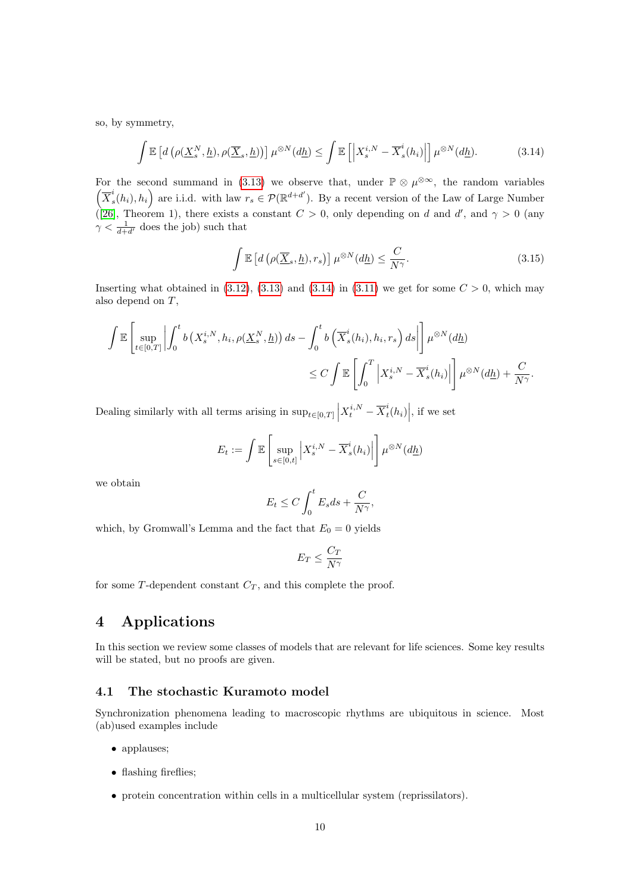so, by symmetry,

<span id="page-9-2"></span>
$$
\int \mathbb{E}\left[d\left(\rho(\underline{X}_{s}^{N},\underline{h}),\rho(\overline{\underline{X}}_{s},\underline{h})\right)\right]\mu^{\otimes N}(d\underline{h}) \leq \int \mathbb{E}\left[\left|X_{s}^{i,N} - \overline{X}_{s}^{i}(h_{i})\right|\right]\mu^{\otimes N}(d\underline{h}).\tag{3.14}
$$

For the second summand in [\(3.13\)](#page-8-3) we observe that, under  $\mathbb{P} \otimes \mu^{\otimes \infty}$ , the random variables  $\left(\overline{X}_{s}^{i}\right)$  $s(k_i), h_i$  are i.i.d. with law  $r_s \in \mathcal{P}(\mathbb{R}^{d+d'})$ . By a recent version of the Law of Large Number ([\[26\]](#page-17-1), Theorem 1), there exists a constant  $C > 0$ , only depending on d and d', and  $\gamma > 0$  (any  $\gamma < \frac{1}{d+d'}$  does the job) such that

$$
\int \mathbb{E}\left[d\left(\rho(\overline{\underline{X}}_s,\underline{h}),r_s\right)\right]\mu^{\otimes N}(d\underline{h}) \leq \frac{C}{N^{\gamma}}.\tag{3.15}
$$

Inserting what obtained in  $(3.12)$ ,  $(3.13)$  and  $(3.14)$  in  $(3.11)$  we get for some  $C > 0$ , which may also depend on T,

$$
\int \mathbb{E} \left[ \sup_{t \in [0,T]} \left| \int_0^t b\left(X_s^{i,N}, h_i, \rho(\underline{X}_s^N, \underline{h})\right) ds - \int_0^t b\left(\overline{X}_s^i(h_i), h_i, r_s\right) ds \right| \right] \mu^{\otimes N}(d\underline{h})
$$
\n
$$
\leq C \int \mathbb{E} \left[ \int_0^T \left|X_s^{i,N} - \overline{X}_s^i(h_i) \right| \right] \mu^{\otimes N}(d\underline{h}) + \frac{C}{N^{\gamma}}.
$$

Dealing similarly with all terms arising in  $\sup_{t\in[0,T]}\Big|X_t^{i,N}-\overline{X}_t^i\Big|$  $\left. \frac{i}{t}(h_i) \right|$ , if we set

$$
E_t := \int \mathbb{E}\left[\sup_{s \in [0,t]} \left| X_s^{i,N} - \overline{X}_s^i(h_i) \right| \right] \mu^{\otimes N}(d\underline{h})
$$

we obtain

$$
E_t \le C \int_0^t E_s ds + \frac{C}{N^{\gamma}},
$$

which, by Gromwall's Lemma and the fact that  $E_0 = 0$  yields

$$
E_T \leq \frac{C_T}{N^\gamma}
$$

for some  $T$ -dependent constant  $C_T$ , and this complete the proof.

# <span id="page-9-0"></span>4 Applications

In this section we review some classes of models that are relevant for life sciences. Some key results will be stated, but no proofs are given.

# <span id="page-9-1"></span>4.1 The stochastic Kuramoto model

Synchronization phenomena leading to macroscopic rhythms are ubiquitous in science. Most (ab)used examples include

- applauses;
- flashing fireflies;
- protein concentration within cells in a multicellular system (reprissilators).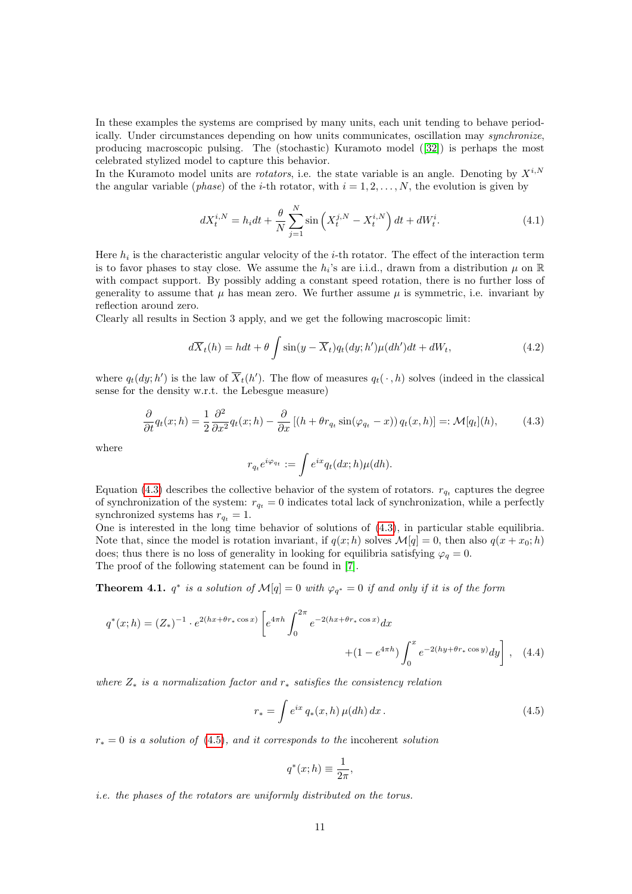In these examples the systems are comprised by many units, each unit tending to behave periodically. Under circumstances depending on how units communicates, oscillation may synchronize, producing macroscopic pulsing. The (stochastic) Kuramoto model ([\[32\]](#page-18-2)) is perhaps the most celebrated stylized model to capture this behavior.

In the Kuramoto model units are *rotators*, i.e. the state variable is an angle. Denoting by  $X^{i,N}$ the angular variable (*phase*) of the *i*-th rotator, with  $i = 1, 2, \ldots, N$ , the evolution is given by

$$
dX_t^{i,N} = h_i dt + \frac{\theta}{N} \sum_{j=1}^N \sin\left(X_t^{j,N} - X_t^{i,N}\right) dt + dW_t^i.
$$
 (4.1)

Here  $h_i$  is the characteristic angular velocity of the *i*-th rotator. The effect of the interaction term is to favor phases to stay close. We assume the  $h_i$ 's are i.i.d., drawn from a distribution  $\mu$  on  $\mathbb R$ with compact support. By possibly adding a constant speed rotation, there is no further loss of generality to assume that  $\mu$  has mean zero. We further assume  $\mu$  is symmetric, i.e. invariant by reflection around zero.

Clearly all results in Section 3 apply, and we get the following macroscopic limit:

$$
d\overline{X}_t(h) = hdt + \theta \int \sin(y - \overline{X}_t) q_t(dy; h') \mu(dh')dt + dW_t,
$$
\n(4.2)

where  $q_t(dy; h')$  is the law of  $\overline{X}_t(h')$ . The flow of measures  $q_t(\cdot, h)$  solves (indeed in the classical sense for the density w.r.t. the Lebesgue measure)

<span id="page-10-0"></span>
$$
\frac{\partial}{\partial t}q_t(x;h) = \frac{1}{2}\frac{\partial^2}{\partial x^2}q_t(x;h) - \frac{\partial}{\partial x}\left[ (h + \theta r_{q_t} \sin(\varphi_{q_t} - x)) q_t(x,h) \right] =: \mathcal{M}[q_t](h),\tag{4.3}
$$

where

$$
r_{q_t}e^{i\varphi_{q_t}}:=\int e^{ix}q_t(dx;h)\mu(dh).
$$

Equation [\(4.3\)](#page-10-0) describes the collective behavior of the system of rotators.  $r_{q_t}$  captures the degree of synchronization of the system:  $r_{q_t} = 0$  indicates total lack of synchronization, while a perfectly synchronized systems has  $r_{q_t} = 1$ .

One is interested in the long time behavior of solutions of [\(4.3\)](#page-10-0), in particular stable equilibria. Note that, since the model is rotation invariant, if  $q(x; h)$  solves  $\mathcal{M}[q] = 0$ , then also  $q(x + x_0; h)$ does; thus there is no loss of generality in looking for equilibria satisfying  $\varphi_q = 0$ .

The proof of the following statement can be found in [\[7\]](#page-16-3).

**Theorem 4.1.**  $q^*$  is a solution of  $\mathcal{M}[q] = 0$  with  $\varphi_{q^*} = 0$  if and only if it is of the form

$$
q^*(x;h) = (Z_*)^{-1} \cdot e^{2(hx + \theta r_* \cos x)} \left[ e^{4\pi h} \int_0^{2\pi} e^{-2(hx + \theta r_* \cos x)} dx + (1 - e^{4\pi h}) \int_0^x e^{-2(hy + \theta r_* \cos y)} dy \right], \quad (4.4)
$$

where  $Z_*$  is a normalization factor and  $r_*$  satisfies the consistency relation

<span id="page-10-1"></span>
$$
r_* = \int e^{ix} q_*(x, h) \,\mu(dh) \, dx \,. \tag{4.5}
$$

 $r_* = 0$  is a solution of [\(4.5\)](#page-10-1), and it corresponds to the incoherent solution

$$
q^*(x; h) \equiv \frac{1}{2\pi},
$$

i.e. the phases of the rotators are uniformly distributed on the torus.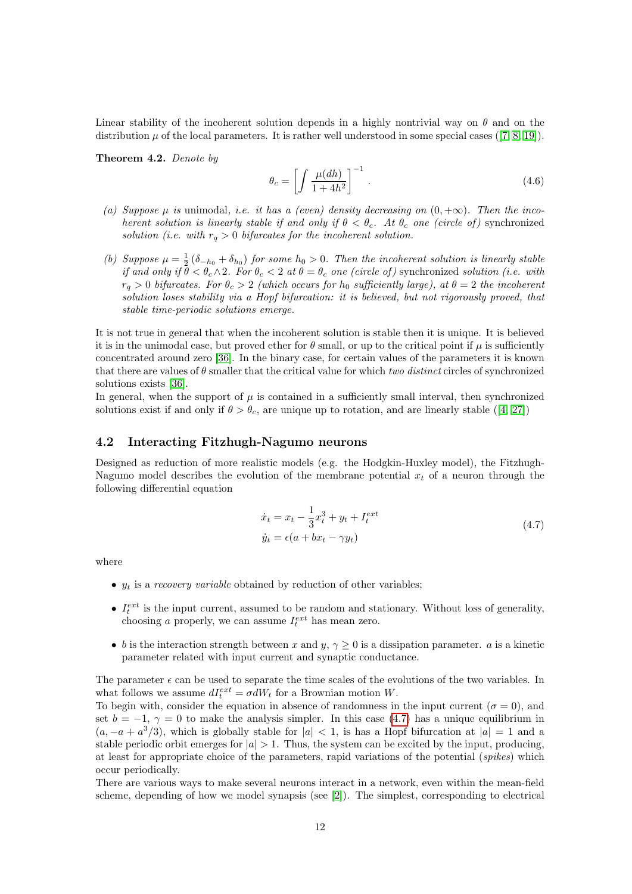Linear stability of the incoherent solution depends in a highly nontrivial way on  $\theta$  and on the distribution  $\mu$  of the local parameters. It is rather well understood in some special cases ([\[7,](#page-16-3) [8,](#page-16-4) [19\]](#page-17-2)).

Theorem 4.2. Denote by

$$
\theta_c = \left[ \int \frac{\mu(dh)}{1 + 4h^2} \right]^{-1} . \tag{4.6}
$$

- (a) Suppose  $\mu$  is unimodal, i.e. it has a (even) density decreasing on  $(0, +\infty)$ . Then the incoherent solution is linearly stable if and only if  $\theta < \theta_c$ . At  $\theta_c$  one (circle of) synchronized solution (i.e. with  $r_q > 0$  bifurcates for the incoherent solution.
- (b) Suppose  $\mu = \frac{1}{2} (\delta_{-h_0} + \delta_{h_0})$  for some  $h_0 > 0$ . Then the incoherent solution is linearly stable if and only if  $\hat{\theta} < \theta_c \wedge 2$ . For  $\theta_c < 2$  at  $\theta = \theta_c$  one (circle of) synchronized solution (i.e. with  $r_q > 0$  bifurcates. For  $\theta_c > 2$  (which occurs for  $h_0$  sufficiently large), at  $\theta = 2$  the incoherent solution loses stability via a Hopf bifurcation: it is believed, but not rigorously proved, that stable time-periodic solutions emerge.

It is not true in general that when the incoherent solution is stable then it is unique. It is believed it is in the unimodal case, but proved ether for  $\theta$  small, or up to the critical point if  $\mu$  is sufficiently concentrated around zero [\[36\]](#page-18-3). In the binary case, for certain values of the parameters it is known that there are values of  $\theta$  smaller that the critical value for which two distinct circles of synchronized solutions exists [\[36\]](#page-18-3).

In general, when the support of  $\mu$  is contained in a sufficiently small interval, then synchronized solutions exist if and only if  $\theta > \theta_c$ , are unique up to rotation, and are linearly stable ([\[4,](#page-16-5) [27\]](#page-17-3))

# <span id="page-11-0"></span>4.2 Interacting Fitzhugh-Nagumo neurons

Designed as reduction of more realistic models (e.g. the Hodgkin-Huxley model), the Fitzhugh-Nagumo model describes the evolution of the membrane potential  $x_t$  of a neuron through the following differential equation

$$
\begin{aligned} \dot{x}_t &= x_t - \frac{1}{3}x_t^3 + y_t + I_t^{ext} \\ \dot{y}_t &= \epsilon(a + bx_t - \gamma y_t) \end{aligned} \tag{4.7}
$$

<span id="page-11-1"></span>where

- $y_t$  is a *recovery variable* obtained by reduction of other variables;
- $I_t^{ext}$  is the input current, assumed to be random and stationary. Without loss of generality, choosing a properly, we can assume  $I_t^{ext}$  has mean zero.
- b is the interaction strength between x and y,  $\gamma \geq 0$  is a dissipation parameter. a is a kinetic parameter related with input current and synaptic conductance.

The parameter  $\epsilon$  can be used to separate the time scales of the evolutions of the two variables. In what follows we assume  $dI_t^{ext} = \sigma dW_t$  for a Brownian motion W.

To begin with, consider the equation in absence of randomness in the input current ( $\sigma = 0$ ), and set  $b = -1$ ,  $\gamma = 0$  to make the analysis simpler. In this case [\(4.7\)](#page-11-1) has a unique equilibrium in  $(a, -a + a^3/3)$ , which is globally stable for  $|a| < 1$ , is has a Hopf bifurcation at  $|a| = 1$  and a stable periodic orbit emerges for  $|a| > 1$ . Thus, the system can be excited by the input, producing, at least for appropriate choice of the parameters, rapid variations of the potential (spikes) which occur periodically.

There are various ways to make several neurons interact in a network, even within the mean-field scheme, depending of how we model synapsis (see [\[2\]](#page-16-6)). The simplest, corresponding to electrical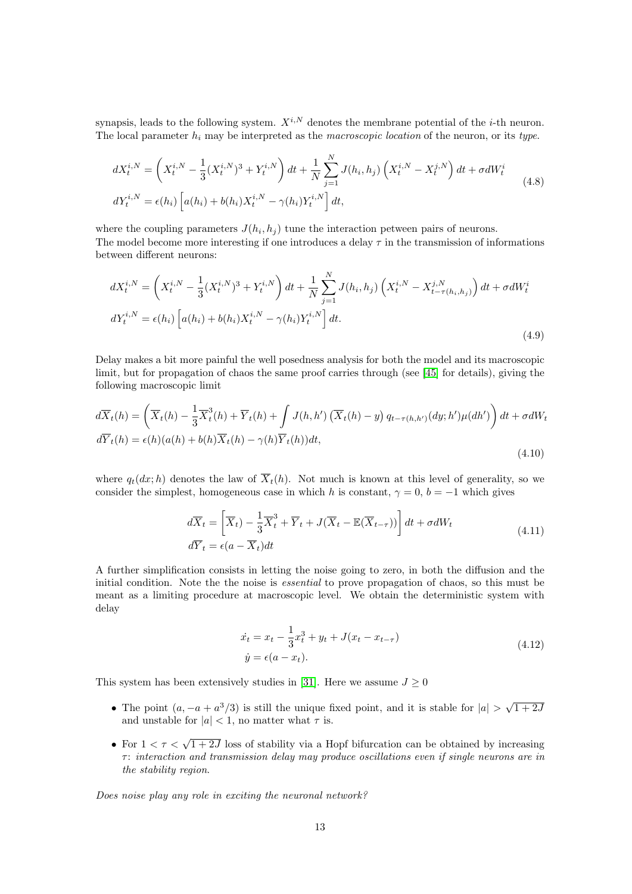synapsis, leads to the following system.  $X^{i,N}$  denotes the membrane potential of the *i*-th neuron. The local parameter  $h_i$  may be interpreted as the *macroscopic location* of the neuron, or its type.

$$
dX_t^{i,N} = \left(X_t^{i,N} - \frac{1}{3}(X_t^{i,N})^3 + Y_t^{i,N}\right)dt + \frac{1}{N}\sum_{j=1}^N J(h_i, h_j) \left(X_t^{i,N} - X_t^{j,N}\right)dt + \sigma dW_t^i
$$
  
\n
$$
dY_t^{i,N} = \epsilon(h_i) \left[a(h_i) + b(h_i)X_t^{i,N} - \gamma(h_i)Y_t^{i,N}\right]dt,
$$
\n(4.8)

where the coupling parameters  $J(h_i, h_j)$  tune the interaction petween pairs of neurons. The model become more interesting if one introduces a delay  $\tau$  in the transmission of informations between different neurons:

$$
dX_t^{i,N} = \left(X_t^{i,N} - \frac{1}{3}(X_t^{i,N})^3 + Y_t^{i,N}\right)dt + \frac{1}{N}\sum_{j=1}^N J(h_i, h_j) \left(X_t^{i,N} - X_{t-\tau(h_i, h_j)}^{j,N}\right)dt + \sigma dW_t^i
$$
  

$$
dY_t^{i,N} = \epsilon(h_i) \left[a(h_i) + b(h_i)X_t^{i,N} - \gamma(h_i)Y_t^{i,N}\right]dt.
$$
\n(4.9)

Delay makes a bit more painful the well posedness analysis for both the model and its macroscopic limit, but for propagation of chaos the same proof carries through (see [\[45\]](#page-18-4) for details), giving the following macroscopic limit

$$
d\overline{X}_t(h) = \left(\overline{X}_t(h) - \frac{1}{3}\overline{X}_t^3(h) + \overline{Y}_t(h) + \int J(h, h') \left(\overline{X}_t(h) - y\right) q_{t-\tau(h, h')}(dy; h') \mu(dh')\right) dt + \sigma dW_t
$$
  

$$
d\overline{Y}_t(h) = \epsilon(h)(a(h) + b(h)\overline{X}_t(h) - \gamma(h)\overline{Y}_t(h))dt,
$$
\n(4.10)

where  $q_t(dx; h)$  denotes the law of  $\overline{X}_t(h)$ . Not much is known at this level of generality, so we consider the simplest, homogeneous case in which h is constant,  $\gamma = 0$ ,  $b = -1$  which gives

$$
d\overline{X}_t = \left[\overline{X}_t\right) - \frac{1}{3}\overline{X}_t^3 + \overline{Y}_t + J(\overline{X}_t - \mathbb{E}(\overline{X}_{t-\tau}))\right]dt + \sigma dW_t
$$
  
\n
$$
d\overline{Y}_t = \epsilon(a - \overline{X}_t)dt
$$
\n(4.11)

<span id="page-12-0"></span>A further simplification consists in letting the noise going to zero, in both the diffusion and the initial condition. Note the the noise is *essential* to prove propagation of chaos, so this must be meant as a limiting procedure at macroscopic level. We obtain the deterministic system with delay

$$
\begin{aligned} \dot{x}_t &= x_t - \frac{1}{3}x_t^3 + y_t + J(x_t - x_{t-\tau})\\ \dot{y} &= \epsilon(a - x_t). \end{aligned} \tag{4.12}
$$

This system has been extensively studies in [\[31\]](#page-18-5). Here we assume  $J \geq 0$ 

- The point  $(a, -a + a^3/3)$  is still the unique fixed point, and it is stable for  $|a| > \sqrt{2}$  $(1+2)$ and unstable for  $|a| < 1$ , no matter what  $\tau$  is.
- For  $1 < \tau < \sqrt{1+2J}$  loss of stability via a Hopf bifurcation can be obtained by increasing  $\tau$ : interaction and transmission delay may produce oscillations even if single neurons are in the stability region.

Does noise play any role in exciting the neuronal network?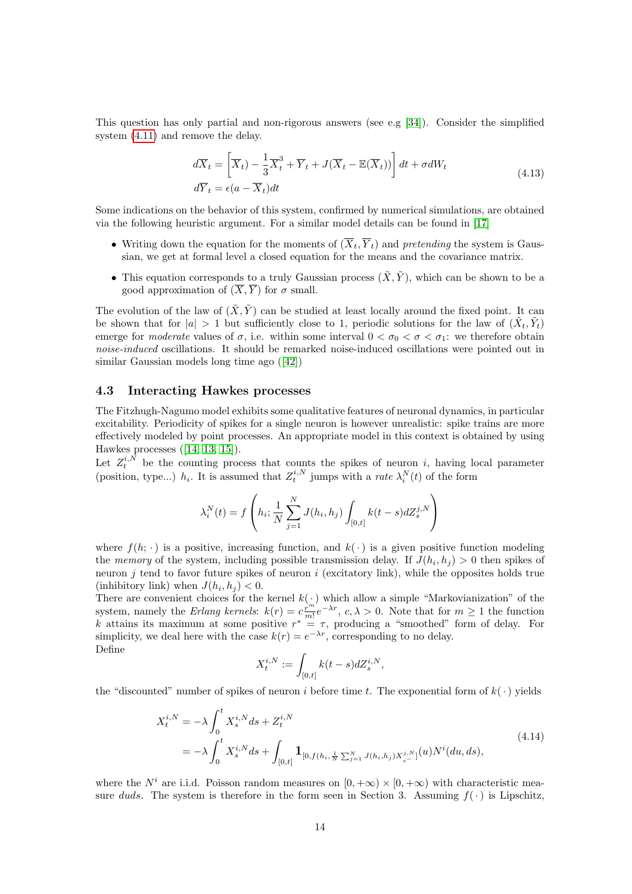This question has only partial and non-rigorous answers (see e.g [\[34\]](#page-18-6)). Consider the simplified system [\(4.11\)](#page-12-0) and remove the delay.

$$
d\overline{X}_t = \left[\overline{X}_t\right) - \frac{1}{3}\overline{X}_t^3 + \overline{Y}_t + J(\overline{X}_t - \mathbb{E}(\overline{X}_t))\right]dt + \sigma dW_t
$$
  
\n
$$
d\overline{Y}_t = \epsilon(a - \overline{X}_t)dt
$$
\n(4.13)

Some indications on the behavior of this system, confirmed by numerical simulations, are obtained via the following heuristic argument. For a similar model details can be found in [\[17\]](#page-17-4)

- Writing down the equation for the moments of  $(\overline{X}_t, \overline{Y}_t)$  and pretending the system is Gaussian, we get at formal level a closed equation for the means and the covariance matrix.
- This equation corresponds to a truly Gaussian process  $(\tilde{X}, \tilde{Y})$ , which can be shown to be a good approximation of  $(\overline{X}, \overline{Y})$  for  $\sigma$  small.

The evolution of the law of  $(\tilde{X}, \tilde{Y})$  can be studied at least locally around the fixed point. It can be shown that for  $|a| > 1$  but sufficiently close to 1, periodic solutions for the law of  $(\tilde{X}_t, \tilde{Y}_t)$ emerge for moderate values of  $\sigma$ , i.e. within some interval  $0 < \sigma_0 < \sigma < \sigma_1$ : we therefore obtain noise-induced oscillations. It should be remarked noise-induced oscillations were pointed out in similar Gaussian models long time ago ([\[42\]](#page-18-7))

#### <span id="page-13-0"></span>4.3 Interacting Hawkes processes

The Fitzhugh-Nagumo model exhibits some qualitative features of neuronal dynamics, in particular excitability. Periodicity of spikes for a single neuron is however unrealistic: spike trains are more effectively modeled by point processes. An appropriate model in this context is obtained by using Hawkes processes ([\[14,](#page-17-5) [13,](#page-17-6) [15\]](#page-17-7)).

Let  $Z_t^{i,N}$  be the counting process that counts the spikes of neuron i, having local parameter (position, type...)  $h_i$ . It is assumed that  $Z_t^{i,N}$  jumps with a *rate*  $\lambda_i^N(t)$  of the form

$$
\lambda_i^N(t) = f\left(h_i; \frac{1}{N} \sum_{j=1}^N J(h_i, h_j) \int_{[0,t]} k(t-s) dZ_s^{j,N}\right)
$$

where  $f(h; \cdot)$  is a positive, increasing function, and  $k(\cdot)$  is a given positive function modeling the memory of the system, including possible transmission delay. If  $J(h_i, h_j) > 0$  then spikes of neuron  $j$  tend to favor future spikes of neuron  $i$  (excitatory link), while the opposites holds true (inhibitory link) when  $J(h_i, h_j) < 0$ .

There are convenient choices for the kernel  $k(\cdot)$  which allow a simple "Markovianization" of the system, namely the Erlang kernels:  $k(r) = c \frac{r^{m'}}{m!} e^{-\lambda r}$ ,  $c, \lambda > 0$ . Note that for  $m \ge 1$  the function k attains its maximum at some positive  $r^* = \tau$ , producing a "smoothed" form of delay. For simplicity, we deal here with the case  $k(r) = e^{-\lambda r}$ , corresponding to no delay. Define

$$
X_t^{i,N} := \int_{[0,t]} k(t-s) dZ_s^{i,N},
$$

the "discounted" number of spikes of neuron i before time t. The exponential form of  $k(\cdot)$  yields

$$
X_t^{i,N} = -\lambda \int_0^t X_s^{i,N} ds + Z_t^{i,N}
$$
  
=  $-\lambda \int_0^t X_s^{i,N} ds + \int_{[0,t]} \mathbf{1}_{[0,f(h_i, \frac{1}{N} \sum_{j=1}^N J(h_i, h_j) X_s^{j,N}]}(u) N^i(du, ds),$  (4.14)

where the  $N^i$  are i.i.d. Poisson random measures on  $[0, +\infty) \times [0, +\infty)$  with characteristic measure duds. The system is therefore in the form seen in Section 3. Assuming  $f(\cdot)$  is Lipschitz,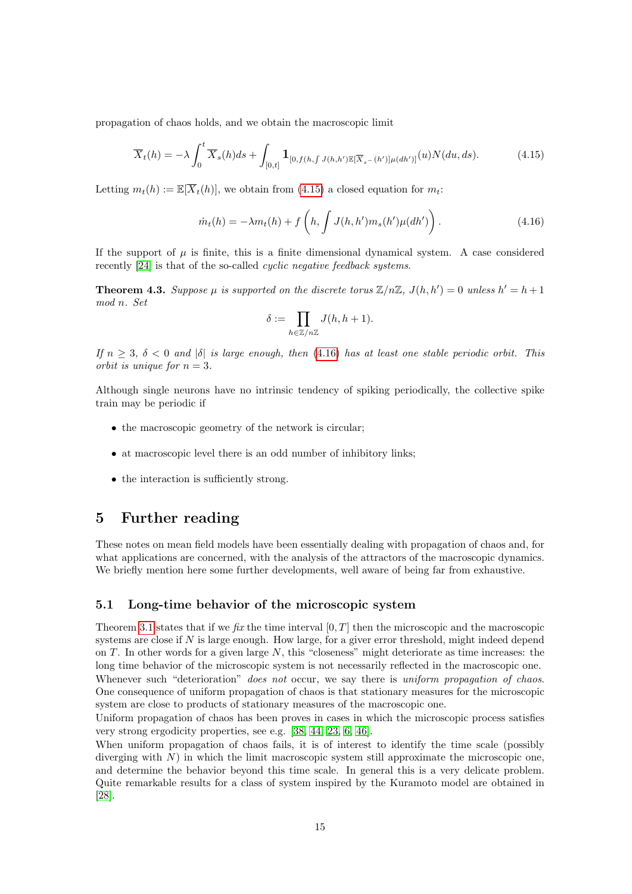propagation of chaos holds, and we obtain the macroscopic limit

<span id="page-14-2"></span>
$$
\overline{X}_t(h) = -\lambda \int_0^t \overline{X}_s(h)ds + \int_{[0,t]} \mathbf{1}_{[0,f(h,\int J(h,h')\mathbb{E}[\overline{X}_{s-}(h')] \mu(dh')]}(u) N(du,ds).
$$
(4.15)

Letting  $m_t(h) := \mathbb{E}[\overline{X}_t(h)]$ , we obtain from [\(4.15\)](#page-14-2) a closed equation for  $m_t$ .

<span id="page-14-3"></span>
$$
\dot{m}_t(h) = -\lambda m_t(h) + f\left(h, \int J(h, h') m_s(h') \mu(dh')\right). \tag{4.16}
$$

If the support of  $\mu$  is finite, this is a finite dimensional dynamical system. A case considered recently [\[24\]](#page-17-8) is that of the so-called cyclic negative feedback systems.

**Theorem 4.3.** Suppose  $\mu$  is supported on the discrete torus  $\mathbb{Z}/n\mathbb{Z}$ ,  $J(h, h') = 0$  unless  $h' = h + 1$ mod n. Set

$$
\delta := \prod_{h \in \mathbb{Z}/n\mathbb{Z}} J(h, h+1).
$$

If  $n \geq 3$ ,  $\delta < 0$  and  $|\delta|$  is large enough, then [\(4.16\)](#page-14-3) has at least one stable periodic orbit. This orbit is unique for  $n = 3$ .

Although single neurons have no intrinsic tendency of spiking periodically, the collective spike train may be periodic if

- the macroscopic geometry of the network is circular;
- at macroscopic level there is an odd number of inhibitory links;
- the interaction is sufficiently strong.

# <span id="page-14-0"></span>5 Further reading

These notes on mean field models have been essentially dealing with propagation of chaos and, for what applications are concerned, with the analysis of the attractors of the macroscopic dynamics. We briefly mention here some further developments, well aware of being far from exhaustive.

#### <span id="page-14-1"></span>5.1 Long-time behavior of the microscopic system

Theorem [3.1](#page-8-1) states that if we fix the time interval  $[0, T]$  then the microscopic and the macroscopic systems are close if N is large enough. How large, for a giver error threshold, might indeed depend on  $T$ . In other words for a given large  $N$ , this "closeness" might deteriorate as time increases: the long time behavior of the microscopic system is not necessarily reflected in the macroscopic one. Whenever such "deterioration" does not occur, we say there is uniform propagation of chaos. One consequence of uniform propagation of chaos is that stationary measures for the microscopic system are close to products of stationary measures of the macroscopic one.

Uniform propagation of chaos has been proves in cases in which the microscopic process satisfies very strong ergodicity properties, see e.g. [\[38,](#page-18-8) [44,](#page-18-9) [23,](#page-17-9) [6,](#page-16-7) [46\]](#page-18-10).

When uniform propagation of chaos fails, it is of interest to identify the time scale (possibly diverging with  $N$ ) in which the limit macroscopic system still approximate the microscopic one, and determine the behavior beyond this time scale. In general this is a very delicate problem. Quite remarkable results for a class of system inspired by the Kuramoto model are obtained in [\[28\]](#page-17-10).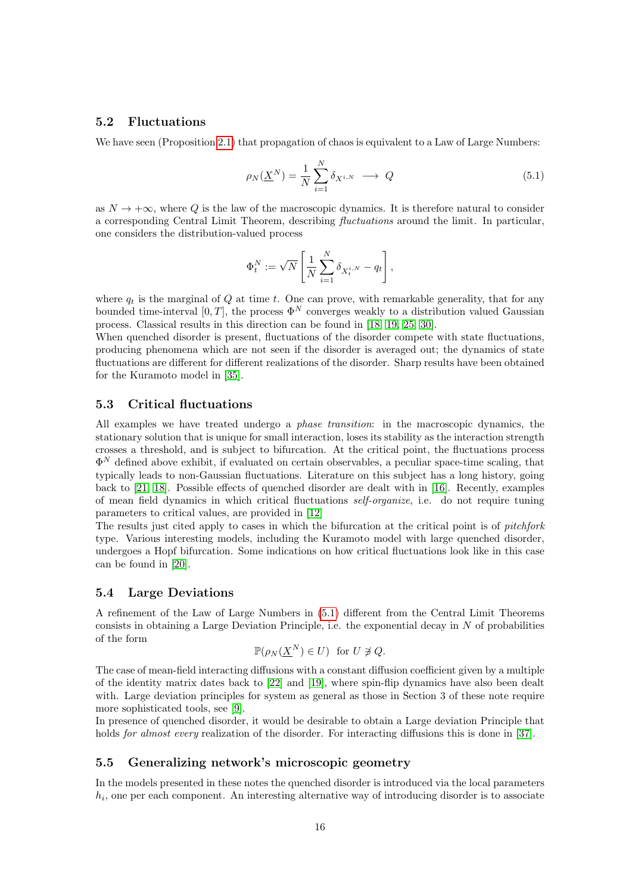## <span id="page-15-0"></span>5.2 Fluctuations

We have seen (Proposition [2.1\)](#page-1-2) that propagation of chaos is equivalent to a Law of Large Numbers:

<span id="page-15-4"></span>
$$
\rho_N(\underline{X}^N) = \frac{1}{N} \sum_{i=1}^N \delta_{X^{i,N}} \longrightarrow Q \tag{5.1}
$$

as  $N \to +\infty$ , where Q is the law of the macroscopic dynamics. It is therefore natural to consider a corresponding Central Limit Theorem, describing fluctuations around the limit. In particular, one considers the distribution-valued process

$$
\Phi_t^N := \sqrt{N} \left[ \frac{1}{N} \sum_{i=1}^N \delta_{X_t^{i,N}} - q_t \right],
$$

where  $q_t$  is the marginal of Q at time t. One can prove, with remarkable generality, that for any bounded time-interval [0, T], the process  $\Phi^N$  converges weakly to a distribution valued Gaussian process. Classical results in this direction can be found in [\[18,](#page-17-11) [19,](#page-17-2) [25,](#page-17-12) [30\]](#page-17-13).

When quenched disorder is present, fluctuations of the disorder compete with state fluctuations, producing phenomena which are not seen if the disorder is averaged out; the dynamics of state fluctuations are different for different realizations of the disorder. Sharp results have been obtained for the Kuramoto model in [\[35\]](#page-18-11).

## <span id="page-15-1"></span>5.3 Critical fluctuations

All examples we have treated undergo a phase transition: in the macroscopic dynamics, the stationary solution that is unique for small interaction, loses its stability as the interaction strength crosses a threshold, and is subject to bifurcation. At the critical point, the fluctuations process  $\Phi^N$  defined above exhibit, if evaluated on certain observables, a peculiar space-time scaling, that typically leads to non-Gaussian fluctuations. Literature on this subject has a long history, going back to [\[21,](#page-17-14) [18\]](#page-17-11). Possible effects of quenched disorder are dealt with in [\[16\]](#page-17-15). Recently, examples of mean field dynamics in which critical fluctuations self-organize, i.e. do not require tuning parameters to critical values, are provided in [\[12\]](#page-17-16)

The results just cited apply to cases in which the bifurcation at the critical point is of *pitchfork* type. Various interesting models, including the Kuramoto model with large quenched disorder, undergoes a Hopf bifurcation. Some indications on how critical fluctuations look like in this case can be found in [\[20\]](#page-17-17).

### <span id="page-15-2"></span>5.4 Large Deviations

A refinement of the Law of Large Numbers in [\(5.1\)](#page-15-4) different from the Central Limit Theorems consists in obtaining a Large Deviation Principle, i.e. the exponential decay in  $N$  of probabilities of the form

$$
\mathbb{P}(\rho_N(\underline{X}^N) \in U) \text{ for } U \not\ni Q.
$$

The case of mean-field interacting diffusions with a constant diffusion coefficient given by a multiple of the identity matrix dates back to [\[22\]](#page-17-18) and [\[19\]](#page-17-2), where spin-flip dynamics have also been dealt with. Large deviation principles for system as general as those in Section 3 of these note require more sophisticated tools, see [\[9\]](#page-16-8).

In presence of quenched disorder, it would be desirable to obtain a Large deviation Principle that holds *for almost every* realization of the disorder. For interacting diffusions this is done in [\[37\]](#page-18-12).

## <span id="page-15-3"></span>5.5 Generalizing network's microscopic geometry

In the models presented in these notes the quenched disorder is introduced via the local parameters  $h_i$ , one per each component. An interesting alternative way of introducing disorder is to associate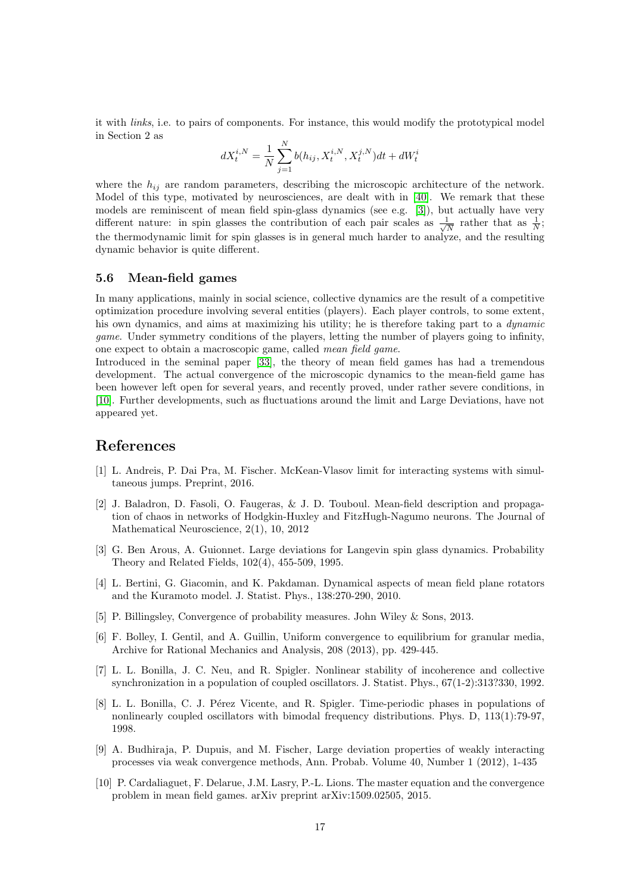it with links, i.e. to pairs of components. For instance, this would modify the prototypical model in Section 2 as

$$
dX_t^{i,N} = \frac{1}{N} \sum_{j=1}^N b(h_{ij}, X_t^{i,N}, X_t^{j,N}) dt + dW_t^i
$$

where the  $h_{ij}$  are random parameters, describing the microscopic architecture of the network. Model of this type, motivated by neurosciences, are dealt with in [\[40\]](#page-18-13). We remark that these models are reminiscent of mean field spin-glass dynamics (see e.g. [\[3\]](#page-16-9)), but actually have very different nature: in spin glasses the contribution of each pair scales as  $\frac{1}{\sqrt{2}}$  $\frac{1}{N}$  rather that as  $\frac{1}{N}$ ; the thermodynamic limit for spin glasses is in general much harder to analyze, and the resulting dynamic behavior is quite different.

#### <span id="page-16-0"></span>5.6 Mean-field games

In many applications, mainly in social science, collective dynamics are the result of a competitive optimization procedure involving several entities (players). Each player controls, to some extent, his own dynamics, and aims at maximizing his utility; he is therefore taking part to a *dynamic* game. Under symmetry conditions of the players, letting the number of players going to infinity, one expect to obtain a macroscopic game, called mean field game.

Introduced in the seminal paper [\[33\]](#page-18-14), the theory of mean field games has had a tremendous development. The actual convergence of the microscopic dynamics to the mean-field game has been however left open for several years, and recently proved, under rather severe conditions, in [\[10\]](#page-16-10). Further developments, such as fluctuations around the limit and Large Deviations, have not appeared yet.

# References

- <span id="page-16-1"></span>[1] L. Andreis, P. Dai Pra, M. Fischer. McKean-Vlasov limit for interacting systems with simultaneous jumps. Preprint, 2016.
- <span id="page-16-6"></span>[2] J. Baladron, D. Fasoli, O. Faugeras, & J. D. Touboul. Mean-field description and propagation of chaos in networks of Hodgkin-Huxley and FitzHugh-Nagumo neurons. The Journal of Mathematical Neuroscience, 2(1), 10, 2012
- <span id="page-16-9"></span>[3] G. Ben Arous, A. Guionnet. Large deviations for Langevin spin glass dynamics. Probability Theory and Related Fields, 102(4), 455-509, 1995.
- <span id="page-16-5"></span>[4] L. Bertini, G. Giacomin, and K. Pakdaman. Dynamical aspects of mean field plane rotators and the Kuramoto model. J. Statist. Phys., 138:270-290, 2010.
- <span id="page-16-2"></span>[5] P. Billingsley, Convergence of probability measures. John Wiley & Sons, 2013.
- <span id="page-16-7"></span>[6] F. Bolley, I. Gentil, and A. Guillin, Uniform convergence to equilibrium for granular media, Archive for Rational Mechanics and Analysis, 208 (2013), pp. 429-445.
- <span id="page-16-3"></span>[7] L. L. Bonilla, J. C. Neu, and R. Spigler. Nonlinear stability of incoherence and collective synchronization in a population of coupled oscillators. J. Statist. Phys., 67(1-2):313?330, 1992.
- <span id="page-16-4"></span>[8] L. L. Bonilla, C. J. Pérez Vicente, and R. Spigler. Time-periodic phases in populations of nonlinearly coupled oscillators with bimodal frequency distributions. Phys. D, 113(1):79-97, 1998.
- <span id="page-16-8"></span>[9] A. Budhiraja, P. Dupuis, and M. Fischer, Large deviation properties of weakly interacting processes via weak convergence methods, Ann. Probab. Volume 40, Number 1 (2012), 1-435
- <span id="page-16-10"></span>[10] P. Cardaliaguet, F. Delarue, J.M. Lasry, P.-L. Lions. The master equation and the convergence problem in mean field games. arXiv preprint arXiv:1509.02505, 2015.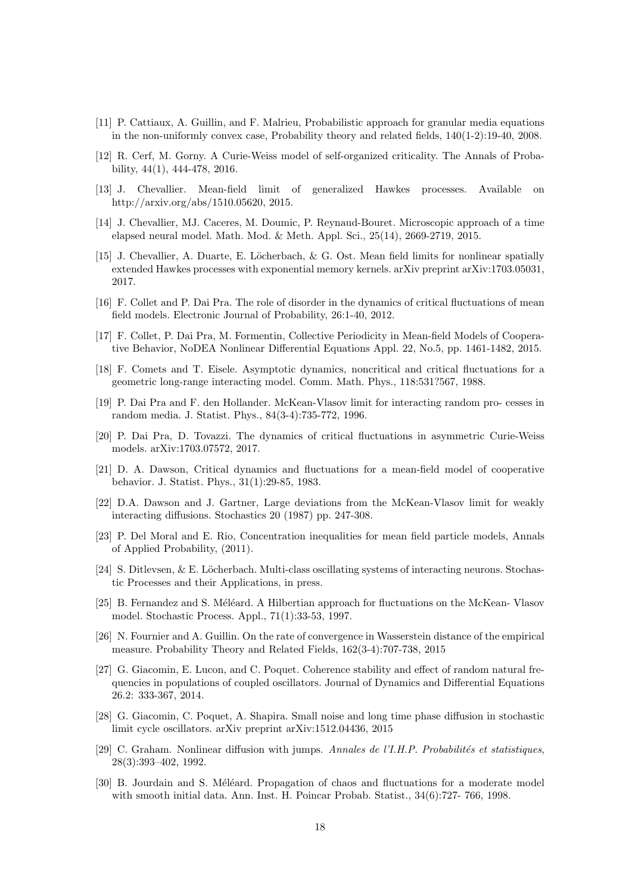- [11] P. Cattiaux, A. Guillin, and F. Malrieu, Probabilistic approach for granular media equations in the non-uniformly convex case, Probability theory and related fields, 140(1-2):19-40, 2008.
- <span id="page-17-16"></span>[12] R. Cerf, M. Gorny. A Curie-Weiss model of self-organized criticality. The Annals of Probability, 44(1), 444-478, 2016.
- <span id="page-17-6"></span>[13] J. Chevallier. Mean-field limit of generalized Hawkes processes. Available on http://arxiv.org/abs/1510.05620, 2015.
- <span id="page-17-5"></span>[14] J. Chevallier, MJ. Caceres, M. Doumic, P. Reynaud-Bouret. Microscopic approach of a time elapsed neural model. Math. Mod. & Meth. Appl. Sci., 25(14), 2669-2719, 2015.
- <span id="page-17-7"></span>[15] J. Chevallier, A. Duarte, E. Löcherbach, & G. Ost. Mean field limits for nonlinear spatially extended Hawkes processes with exponential memory kernels. arXiv preprint arXiv:1703.05031, 2017.
- <span id="page-17-15"></span>[16] F. Collet and P. Dai Pra. The role of disorder in the dynamics of critical fluctuations of mean field models. Electronic Journal of Probability, 26:1-40, 2012.
- <span id="page-17-4"></span>[17] F. Collet, P. Dai Pra, M. Formentin, Collective Periodicity in Mean-field Models of Cooperative Behavior, NoDEA Nonlinear Differential Equations Appl. 22, No.5, pp. 1461-1482, 2015.
- <span id="page-17-11"></span>[18] F. Comets and T. Eisele. Asymptotic dynamics, noncritical and critical fluctuations for a geometric long-range interacting model. Comm. Math. Phys., 118:531?567, 1988.
- <span id="page-17-2"></span>[19] P. Dai Pra and F. den Hollander. McKean-Vlasov limit for interacting random pro- cesses in random media. J. Statist. Phys., 84(3-4):735-772, 1996.
- <span id="page-17-17"></span>[20] P. Dai Pra, D. Tovazzi. The dynamics of critical fluctuations in asymmetric Curie-Weiss models. arXiv:1703.07572, 2017.
- <span id="page-17-14"></span>[21] D. A. Dawson, Critical dynamics and fluctuations for a mean-field model of cooperative behavior. J. Statist. Phys., 31(1):29-85, 1983.
- <span id="page-17-18"></span>[22] D.A. Dawson and J. Gartner, Large deviations from the McKean-Vlasov limit for weakly interacting diffusions. Stochastics 20 (1987) pp. 247-308.
- <span id="page-17-9"></span>[23] P. Del Moral and E. Rio, Concentration inequalities for mean field particle models, Annals of Applied Probability, (2011).
- <span id="page-17-8"></span>[24] S. Ditlevsen,  $\&$  E. Löcherbach. Multi-class oscillating systems of interacting neurons. Stochastic Processes and their Applications, in press.
- <span id="page-17-12"></span>[25] B. Fernandez and S. Méléard. A Hilbertian approach for fluctuations on the McKean- Vlasov model. Stochastic Process. Appl., 71(1):33-53, 1997.
- <span id="page-17-1"></span>[26] N. Fournier and A. Guillin. On the rate of convergence in Wasserstein distance of the empirical measure. Probability Theory and Related Fields, 162(3-4):707-738, 2015
- <span id="page-17-3"></span>[27] G. Giacomin, E. Lucon, and C. Poquet. Coherence stability and effect of random natural frequencies in populations of coupled oscillators. Journal of Dynamics and Differential Equations 26.2: 333-367, 2014.
- <span id="page-17-10"></span>[28] G. Giacomin, C. Poquet, A. Shapira. Small noise and long time phase diffusion in stochastic limit cycle oscillators. arXiv preprint arXiv:1512.04436, 2015
- <span id="page-17-0"></span>[29] C. Graham. Nonlinear diffusion with jumps. Annales de l'I.H.P. Probabilités et statistiques, 28(3):393–402, 1992.
- <span id="page-17-13"></span>[30] B. Jourdain and S. Méléard. Propagation of chaos and fluctuations for a moderate model with smooth initial data. Ann. Inst. H. Poincar Probab. Statist., 34(6):727- 766, 1998.